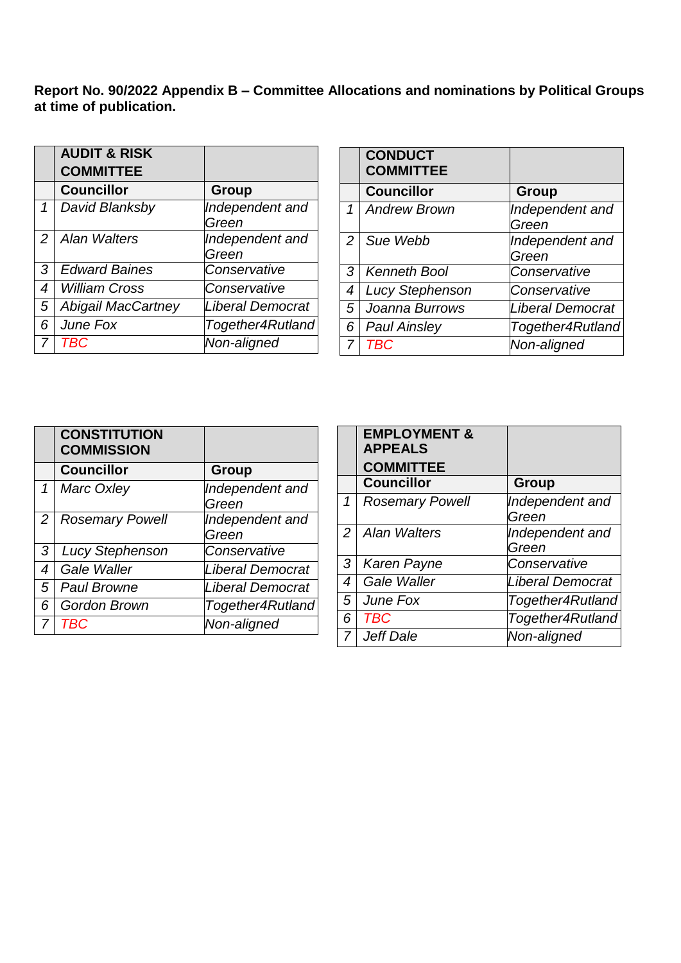**Report No. 90/2022 Appendix B – Committee Allocations and nominations by Political Groups at time of publication.** 

|                  | <b>AUDIT &amp; RISK</b>   |                  |
|------------------|---------------------------|------------------|
|                  | <b>COMMITTEE</b>          |                  |
|                  | <b>Councillor</b>         | <b>Group</b>     |
| 1                | David Blanksby            | Independent and  |
|                  |                           | Green            |
| 2                | <b>Alan Walters</b>       | Independent and  |
|                  |                           | Green            |
| 3                | <b>Edward Baines</b>      | Conservative     |
| $\boldsymbol{4}$ | <b>William Cross</b>      | Conservative     |
| 5                | <b>Abigail MacCartney</b> | Liberal Democrat |
| 6                | June Fox                  | Together4Rutland |
|                  | <b>TBC</b>                | Non-aligned      |

|   | <b>CONDUCT</b><br><b>COMMITTEE</b> |                          |
|---|------------------------------------|--------------------------|
|   | <b>Councillor</b>                  | <b>Group</b>             |
| 1 | <b>Andrew Brown</b>                | Independent and          |
|   |                                    | Green                    |
| 2 | Sue Webb                           | Independent and<br>Green |
| 3 | <b>Kenneth Bool</b>                | Conservative             |
| 4 | <b>Lucy Stephenson</b>             | Conservative             |
| 5 | Joanna Burrows                     | <b>Liberal Democrat</b>  |
| 6 | <b>Paul Ainsley</b>                | Together4Rutland         |
| 7 | TBC                                | Non-aligned              |

|                  | <b>CONSTITUTION</b><br><b>COMMISSION</b> |                          |
|------------------|------------------------------------------|--------------------------|
|                  | <b>Councillor</b>                        | <b>Group</b>             |
| 1                | Marc Oxley                               | Independent and<br>Green |
| 2                | <b>Rosemary Powell</b>                   | Independent and<br>Green |
| 3                | <b>Lucy Stephenson</b>                   | Conservative             |
| $\boldsymbol{4}$ | Gale Waller                              | <b>Liberal Democrat</b>  |
| 5                | <b>Paul Browne</b>                       | <b>Liberal Democrat</b>  |
| 6                | <b>Gordon Brown</b>                      | Together4Rutland         |
| 7                | <b>TBC</b>                               | Non-aligned              |

|   | <b>EMPLOYMENT &amp;</b><br><b>APPEALS</b><br><b>COMMITTEE</b> |                          |
|---|---------------------------------------------------------------|--------------------------|
|   | <b>Councillor</b>                                             | Group                    |
| 1 | <b>Rosemary Powell</b>                                        | Independent and<br>Green |
| 2 | <b>Alan Walters</b>                                           | Independent and<br>Green |
| 3 | <b>Karen Payne</b>                                            | Conservative             |
| 4 | Gale Waller                                                   | Liberal Democrat         |
| 5 | June Fox                                                      | Together4Rutland         |
| 6 | <b>TBC</b>                                                    | Together4Rutland         |
| 7 | Jeff Dale                                                     | Non-aligned              |